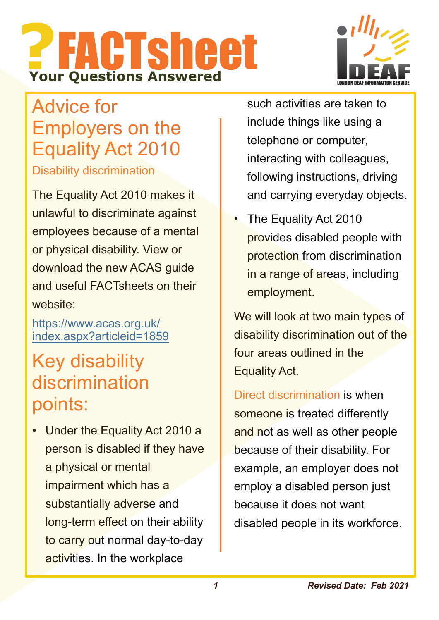# **?**FACTsheet **Your Questions Answered**



# Advice for Employers on the Equality Act 2010

Disability discrimination

The Equality Act 2010 makes it unlawful to discriminate against employees because of a mental or physical disability. View or download the new ACAS guide and useful FACTsheets on their website:

https://www.acas.org.uk/ index.aspx?articleid=1859

# Key disability discrimination points:

• Under the Equality Act 2010 a person is disabled if they have a physical or mental impairment which has a substantially adverse and long-term effect on their ability to carry out normal day-to-day activities. In the workplace

such activities are taken to include things like using a telephone or computer, interacting with colleagues, following instructions, driving and carrying everyday objects.

The Equality Act 2010 provides disabled people with protection from discrimination in a range of areas, including employment.

We will look at two main types of disability discrimination out of the four areas outlined in the Equality Act.

Direct discrimination is when someone is treated differently and not as well as other people because of their disability. For example, an employer does not employ a disabled person just because it does not want disabled people in its workforce.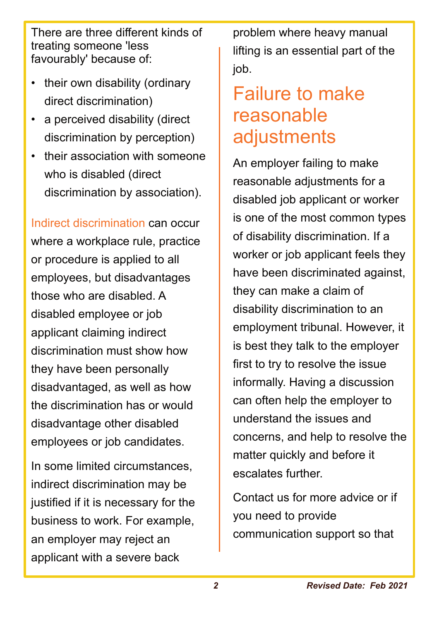There are three different kinds of treating someone 'less favourably' because of:

- their own disability (ordinary direct discrimination)
- a perceived disability (direct discrimination by perception)
- their association with someone who is disabled (direct discrimination by association).

Indirect discrimination can occur where a workplace rule, practice or procedure is applied to all employees, but disadvantages those who are disabled. A disabled employee or job applicant claiming indirect discrimination must show how they have been personally disadvantaged, as well as how the discrimination has or would disadvantage other disabled employees or job candidates.

In some limited circumstances, indirect discrimination may be justified if it is necessary for the business to work. For example, an employer may reject an applicant with a severe back

problem where heavy manual lifting is an essential part of the job.

# Failure to make reasonable adjustments

An employer failing to make reasonable adjustments for a disabled job applicant or worker is one of the most common types of disability discrimination. If a worker or job applicant feels they have been discriminated against, they can make a claim of disability discrimination to an employment tribunal. However, it is best they talk to the employer first to try to resolve the issue informally. Having a discussion can often help the employer to understand the issues and concerns, and help to resolve the matter quickly and before it escalates further.

Contact us for more advice or if you need to provide communication support so that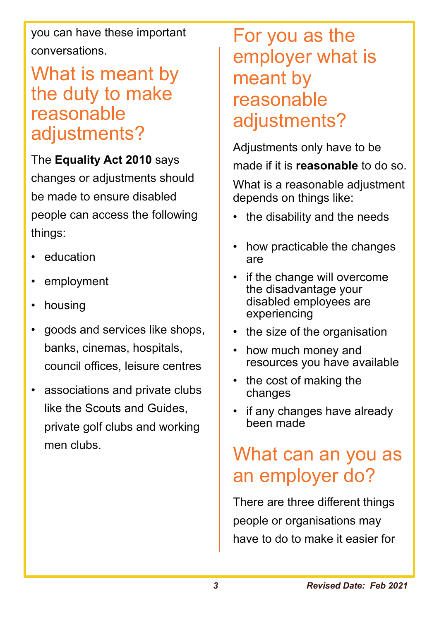you can have these important conversations.

## What is meant by the duty to make reasonable adjustments?

The **Equality Act 2010** says changes or adjustments should be made to ensure disabled people can access the following things:

- education
- employment
- housing
- goods and services like shops, banks, cinemas, hospitals, council offices, leisure centres
- associations and private clubs like the Scouts and Guides, private golf clubs and working men clubs.

For you as the employer what is meant by reasonable adjustments?

Adjustments only have to be made if it is **reasonable** to do so.

What is a reasonable adjustment depends on things like:

- the disability and the needs
- how practicable the changes are
- if the change will overcome the disadvantage your disabled employees are experiencing
- the size of the organisation
- how much money and resources you have available
- the cost of making the changes
- if any changes have already been made

# What can an you as an employer do?

There are three different things people or organisations may have to do to make it easier for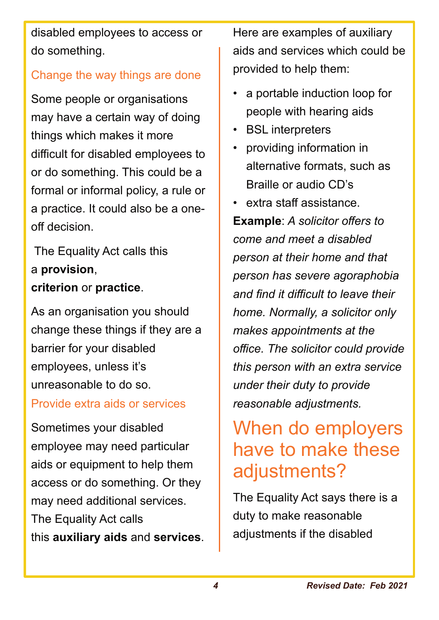disabled employees to access or do something.

### Change the way things are done

Some people or organisations may have a certain way of doing things which makes it more difficult for disabled employees to or do something. This could be a formal or informal policy, a rule or a practice. It could also be a oneoff decision.

The Equality Act calls this a **provision**, **criterion** or **practice**.

As an organisation you should change these things if they are a barrier for your disabled employees, unless it's unreasonable to do so.

#### Provide extra aids or services

Sometimes your disabled employee may need particular aids or equipment to help them access or do something. Or they may need additional services. The Equality Act calls this **auxiliary aids** and **services**. Here are examples of auxiliary aids and services which could be provided to help them:

- a portable induction loop for people with hearing aids
- BSL interpreters
- providing information in alternative formats, such as Braille or audio CD's

• extra staff assistance. **Example**: *A solicitor offers to come and meet a disabled person at their home and that person has severe agoraphobia and find it difficult to leave their home. Normally, a solicitor only makes appointments at the office. The solicitor could provide this person with an extra service under their duty to provide reasonable adjustments.*

# When do employers have to make these adjustments?

The Equality Act says there is a duty to make reasonable adjustments if the disabled